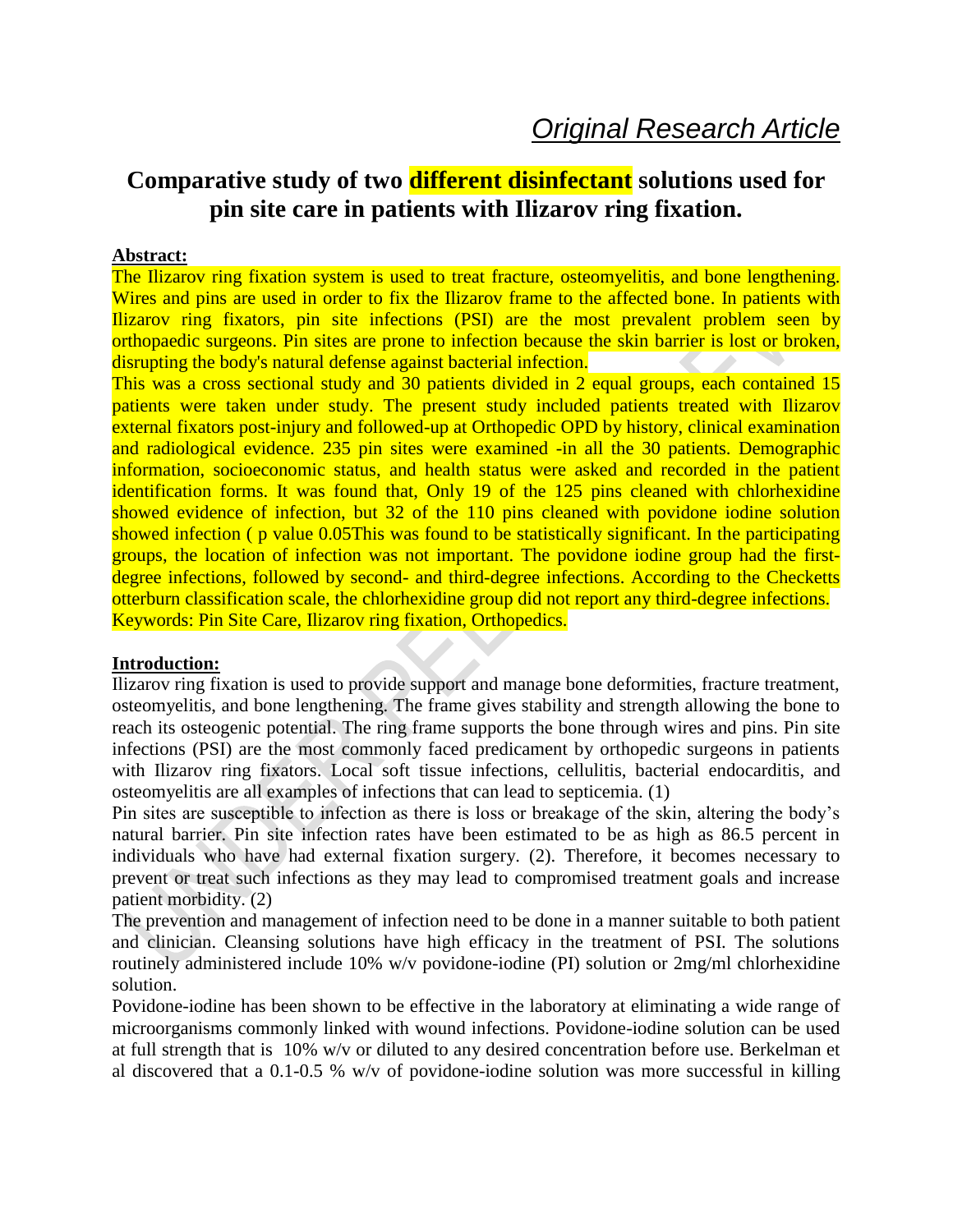# **Comparative study of two different disinfectant solutions used for pin site care in patients with Ilizarov ring fixation.**

#### **Abstract:**

The Ilizarov ring fixation system is used to treat fracture, osteomyelitis, and bone lengthening. Wires and pins are used in order to fix the Ilizarov frame to the affected bone. In patients with Ilizarov ring fixators, pin site infections (PSI) are the most prevalent problem seen by orthopaedic surgeons. Pin sites are prone to infection because the skin barrier is lost or broken, disrupting the body's natural defense against bacterial infection.

This was a cross sectional study and 30 patients divided in 2 equal groups, each contained 15 patients were taken under study. The present study included patients treated with Ilizarov external fixators post-injury and followed-up at Orthopedic OPD by history, clinical examination and radiological evidence. 235 pin sites were examined -in all the 30 patients. Demographic information, socioeconomic status, and health status were asked and recorded in the patient identification forms. It was found that, Only 19 of the 125 pins cleaned with chlorhexidine showed evidence of infection, but 32 of the 110 pins cleaned with povidone iodine solution showed infection (p value 0.05This was found to be statistically significant. In the participating groups, the location of infection was not important. The povidone iodine group had the firstdegree infections, followed by second- and third-degree infections. According to the Checketts otterburn classification scale, the chlorhexidine group did not report any third-degree infections. Keywords: Pin Site Care, Ilizarov ring fixation, Orthopedics.

#### **Introduction:**

Ilizarov ring fixation is used to provide support and manage bone deformities, fracture treatment, osteomyelitis, and bone lengthening. The frame gives stability and strength allowing the bone to reach its osteogenic potential. The ring frame supports the bone through wires and pins. Pin site infections (PSI) are the most commonly faced predicament by orthopedic surgeons in patients with Ilizarov ring fixators. Local soft tissue infections, cellulitis, bacterial endocarditis, and osteomyelitis are all examples of infections that can lead to septicemia. [\(1\)](https://www.zotero.org/google-docs/?hSxPXI)

Pin sites are susceptible to infection as there is loss or breakage of the skin, altering the body's natural barrier. Pin site infection rates have been estimated to be as high as 86.5 percent in individuals who have had external fixation surgery. [\(2\).](https://www.zotero.org/google-docs/?cbsZOy) Therefore, it becomes necessary to prevent or treat such infections as they may lead to compromised treatment goals and increase patient morbidity. [\(2\)](https://www.zotero.org/google-docs/?rpzGIz)

The prevention and management of infection need to be done in a manner suitable to both patient and clinician. Cleansing solutions have high efficacy in the treatment of PSI. The solutions routinely administered include 10% w/v povidone-iodine (PI) solution or 2mg/ml chlorhexidine solution.

Povidone-iodine has been shown to be effective in the laboratory at eliminating a wide range of microorganisms commonly linked with wound infections. Povidone-iodine solution can be used at full strength that is 10% w/v or diluted to any desired concentration before use. Berkelman et al discovered that a 0.1-0.5 % w/v of povidone-iodine solution was more successful in killing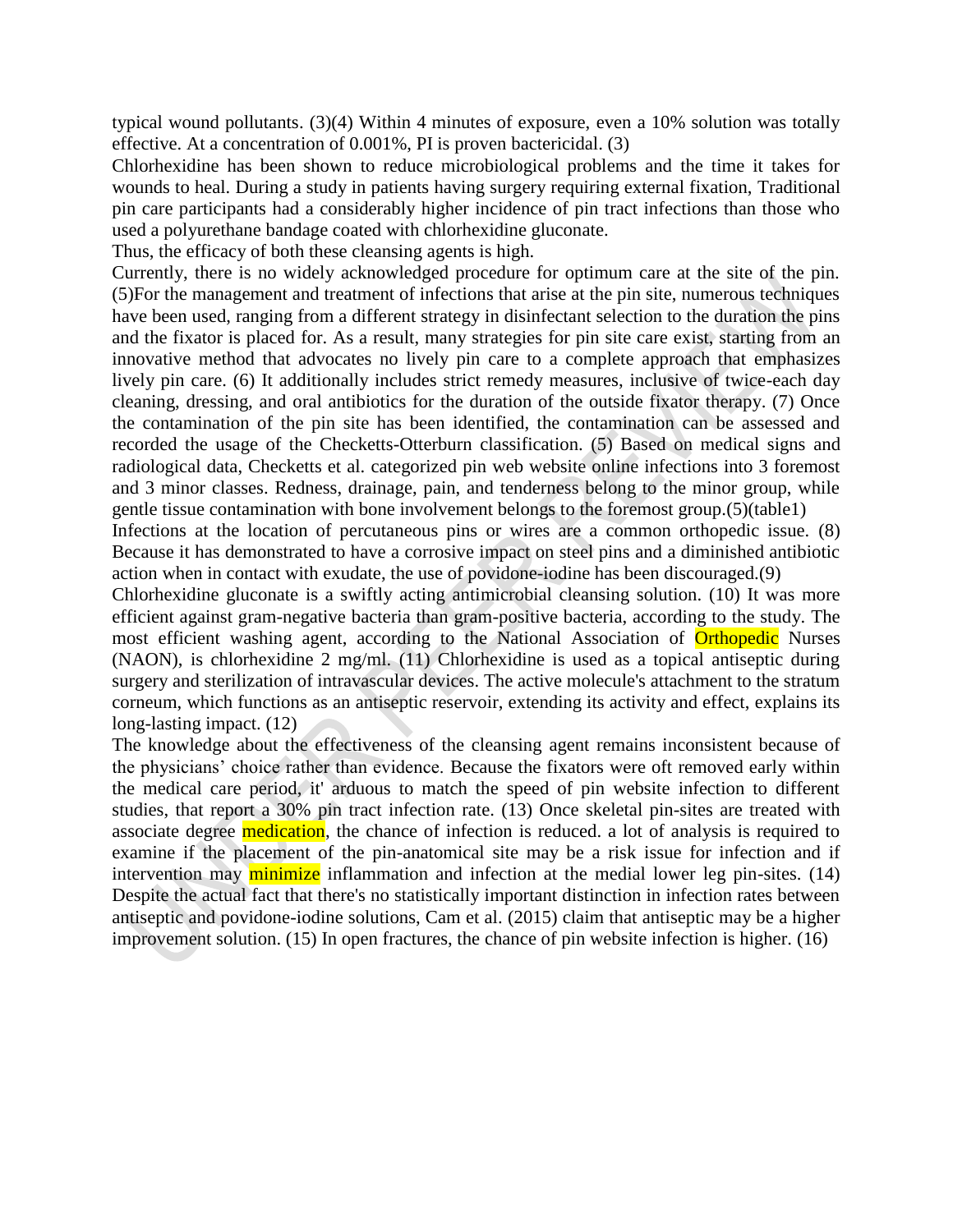typical wound pollutants. [\(3\)\(4\)](https://www.zotero.org/google-docs/?5nOKFX) Within 4 minutes of exposure, even a 10% solution was totally effective. At a concentration of 0.001%, PI is proven bactericidal. [\(3\)](https://www.zotero.org/google-docs/?3mW1R8)

Chlorhexidine has been shown to reduce microbiological problems and the time it takes for wounds to heal. During a study in patients having surgery requiring external fixation, Traditional pin care participants had a considerably higher incidence of pin tract infections than those who used a polyurethane bandage coated with chlorhexidine gluconate.

Thus, the efficacy of both these cleansing agents is high.

Currently, there is no widely acknowledged procedure for optimum care at the site of the pin. [\(5\)F](https://www.zotero.org/google-docs/?QYq58S)or the management and treatment of infections that arise at the pin site, numerous techniques have been used, ranging from a different strategy in disinfectant selection to the duration the pins and the fixator is placed for. As a result, many strategies for pin site care exist, starting from an innovative method that advocates no lively pin care to a complete approach that emphasizes lively pin care. (6) It additionally includes strict remedy measures, inclusive of twice-each day cleaning, dressing, and oral antibiotics for the duration of the outside fixator therapy. (7) Once the contamination of the pin site has been identified, the contamination can be assessed and recorded the usage of the Checketts-Otterburn classification. (5) Based on medical signs and radiological data, Checketts et al. categorized pin web website online infections into 3 foremost and 3 minor classes. Redness, drainage, pain, and tenderness belong to the minor group, while gentle tissue contamination with bone involvement belongs to the foremost group[.\(5\)\(](https://www.zotero.org/google-docs/?geqn6W)table1)

Infections at the location of percutaneous pins or wires are a common orthopedic issue. [\(8\)](https://www.zotero.org/google-docs/?rOQ0wm) Because it has demonstrated to have a corrosive impact on steel pins and a diminished antibiotic action when in contact with exudate, the use of povidone-iodine has been discouraged[.\(9\)](https://www.zotero.org/google-docs/?nqi41U)

Chlorhexidine gluconate is a swiftly acting antimicrobial cleansing solution. [\(10\)](https://www.zotero.org/google-docs/?lF1Txz) It was more efficient against gram-negative bacteria than gram-positive bacteria, according to the study. The most efficient washing agent, according to the National Association of **Orthopedic** Nurses (NAON), is chlorhexidine 2 mg/ml. (11) Chlorhexidine is used as a topical antiseptic during surgery and sterilization of intravascular devices. The active molecule's attachment to the stratum corneum, which functions as an antiseptic reservoir, extending its activity and effect, explains its long-lasting impact. (12)

The knowledge about the effectiveness of the cleansing agent remains inconsistent because of the physicians' choice rather than evidence. Because the fixators were oft removed early within the medical care period, it' arduous to match the speed of pin website infection to different studies, that report a 30% pin tract infection rate. (13) Once skeletal pin-sites are treated with associate degree medication, the chance of infection is reduced. a lot of analysis is required to examine if the placement of the pin-anatomical site may be a risk issue for infection and if intervention may **minimize** inflammation and infection at the medial lower leg pin-sites. (14) Despite the actual fact that there's no statistically important distinction in infection rates between antiseptic and povidone-iodine solutions, Cam et al. (2015) claim that antiseptic may be a higher improvement solution. (15) In open fractures, the chance of pin website infection is higher. [\(16\)](https://www.zotero.org/google-docs/?wXCy8D)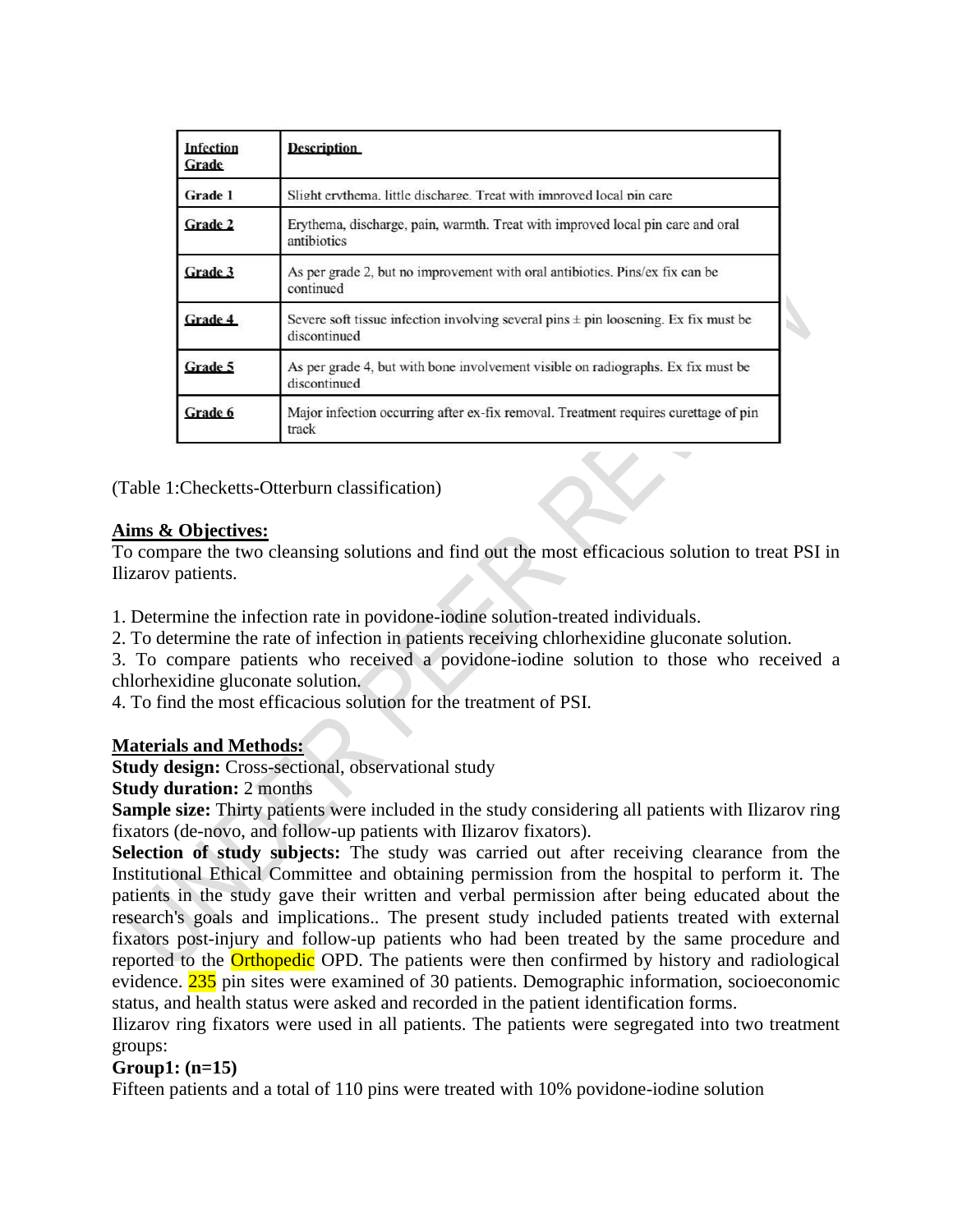| Infection<br>Grade | <b>Description</b>                                                                                      |
|--------------------|---------------------------------------------------------------------------------------------------------|
| Grade 1            | Slight erythema, little discharge. Treat with improved local pin care                                   |
| Grade 2            | Erythema, discharge, pain, warmth. Treat with improved local pin care and oral<br>antibiotics           |
| Grade 3            | As per grade 2, but no improvement with oral antibiotics. Pins/ex fix can be<br>continued               |
| Grade 4            | Severe soft tissue infection involving several pins $\pm$ pin loosening. Ex fix must be<br>discontinued |
| Grade 5            | As per grade 4, but with bone involvement visible on radiographs. Ex fix must be<br>discontinued        |
| Grade 6            | Major infection occurring after ex-fix removal. Treatment requires curettage of pin<br>track            |

(Table 1:Checketts-Otterburn classification)

## **Aims & Objectives:**

To compare the two cleansing solutions and find out the most efficacious solution to treat PSI in Ilizarov patients.

1. Determine the infection rate in povidone-iodine solution-treated individuals.

2. To determine the rate of infection in patients receiving chlorhexidine gluconate solution.

3. To compare patients who received a povidone-iodine solution to those who received a chlorhexidine gluconate solution.

4. To find the most efficacious solution for the treatment of PSI.

#### **Materials and Methods:**

**Study design:** Cross-sectional, observational study

**Study duration:** 2 months

**Sample size:** Thirty patients were included in the study considering all patients with Ilizarov ring fixators (de-novo, and follow-up patients with Ilizarov fixators).

**Selection of study subjects:** The study was carried out after receiving clearance from the Institutional Ethical Committee and obtaining permission from the hospital to perform it. The patients in the study gave their written and verbal permission after being educated about the research's goals and implications.. The present study included patients treated with external fixators post-injury and follow-up patients who had been treated by the same procedure and reported to the Orthopedic OPD. The patients were then confirmed by history and radiological evidence. 235 pin sites were examined of 30 patients. Demographic information, socioeconomic status, and health status were asked and recorded in the patient identification forms.

Ilizarov ring fixators were used in all patients. The patients were segregated into two treatment groups:

# **Group1: (n=15)**

Fifteen patients and a total of 110 pins were treated with 10% povidone-iodine solution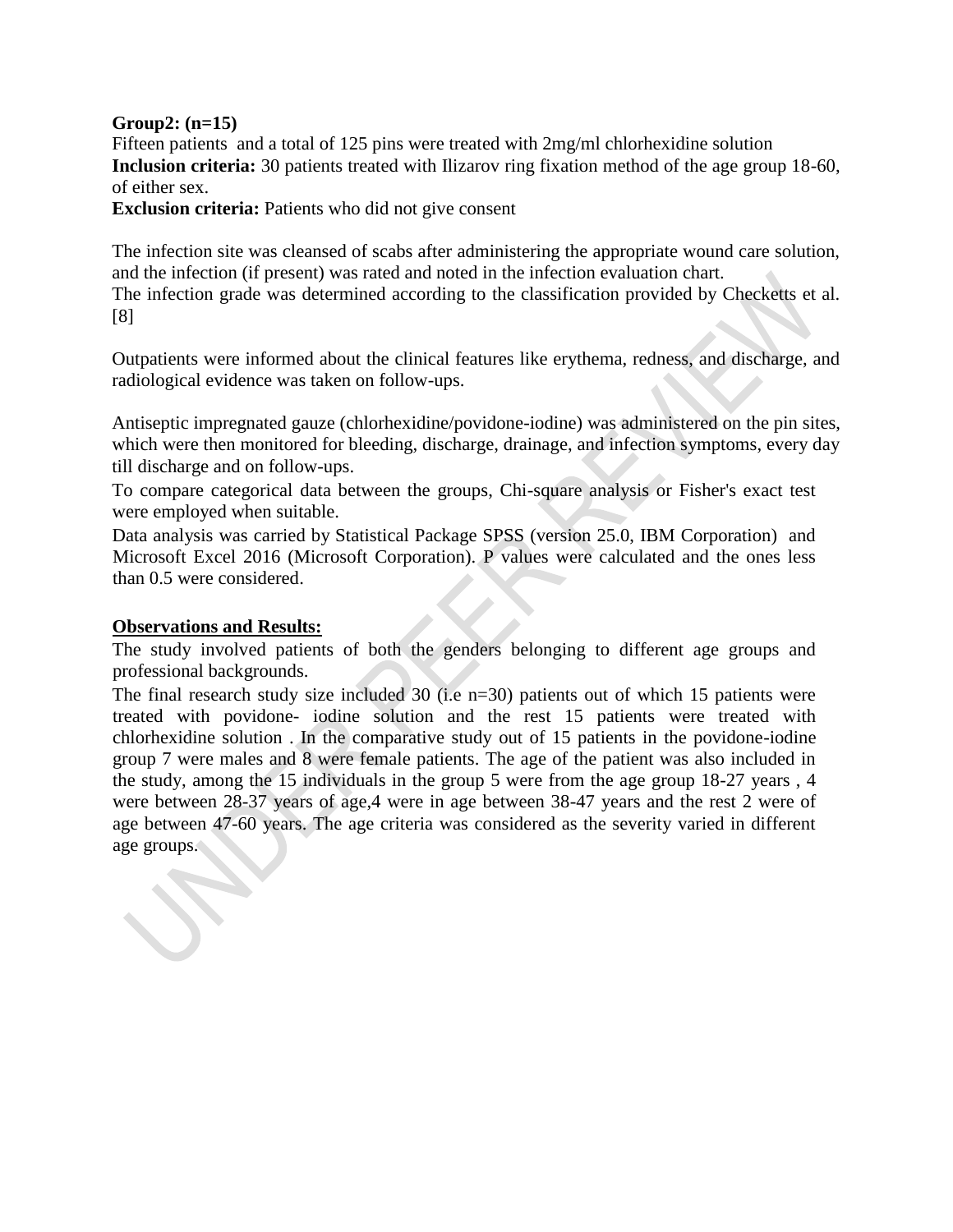#### **Group2: (n=15)**

Fifteen patients and a total of 125 pins were treated with 2mg/ml chlorhexidine solution **Inclusion criteria:** 30 patients treated with Ilizarov ring fixation method of the age group 18-60, of either sex.

**Exclusion criteria:** Patients who did not give consent

The infection site was cleansed of scabs after administering the appropriate wound care solution, and the infection (if present) was rated and noted in the infection evaluation chart. The infection grade was determined according to the classification provided by Checketts et al. [8]

Outpatients were informed about the clinical features like erythema, redness, and discharge, and radiological evidence was taken on follow-ups.

Antiseptic impregnated gauze (chlorhexidine/povidone-iodine) was administered on the pin sites, which were then monitored for bleeding, discharge, drainage, and infection symptoms, every day till discharge and on follow-ups.

To compare categorical data between the groups, Chi-square analysis or Fisher's exact test were employed when suitable.

Data analysis was carried by Statistical Package SPSS (version 25.0, IBM Corporation) and Microsoft Excel 2016 (Microsoft Corporation). P values were calculated and the ones less than 0.5 were considered.

#### **Observations and Results:**

The study involved patients of both the genders belonging to different age groups and professional backgrounds.

The final research study size included 30 (i.e  $n=30$ ) patients out of which 15 patients were treated with povidone- iodine solution and the rest 15 patients were treated with chlorhexidine solution . In the comparative study out of 15 patients in the povidone-iodine group 7 were males and 8 were female patients. The age of the patient was also included in the study, among the 15 individuals in the group 5 were from the age group 18-27 years , 4 were between 28-37 years of age,4 were in age between 38-47 years and the rest 2 were of age between 47-60 years. The age criteria was considered as the severity varied in different age groups.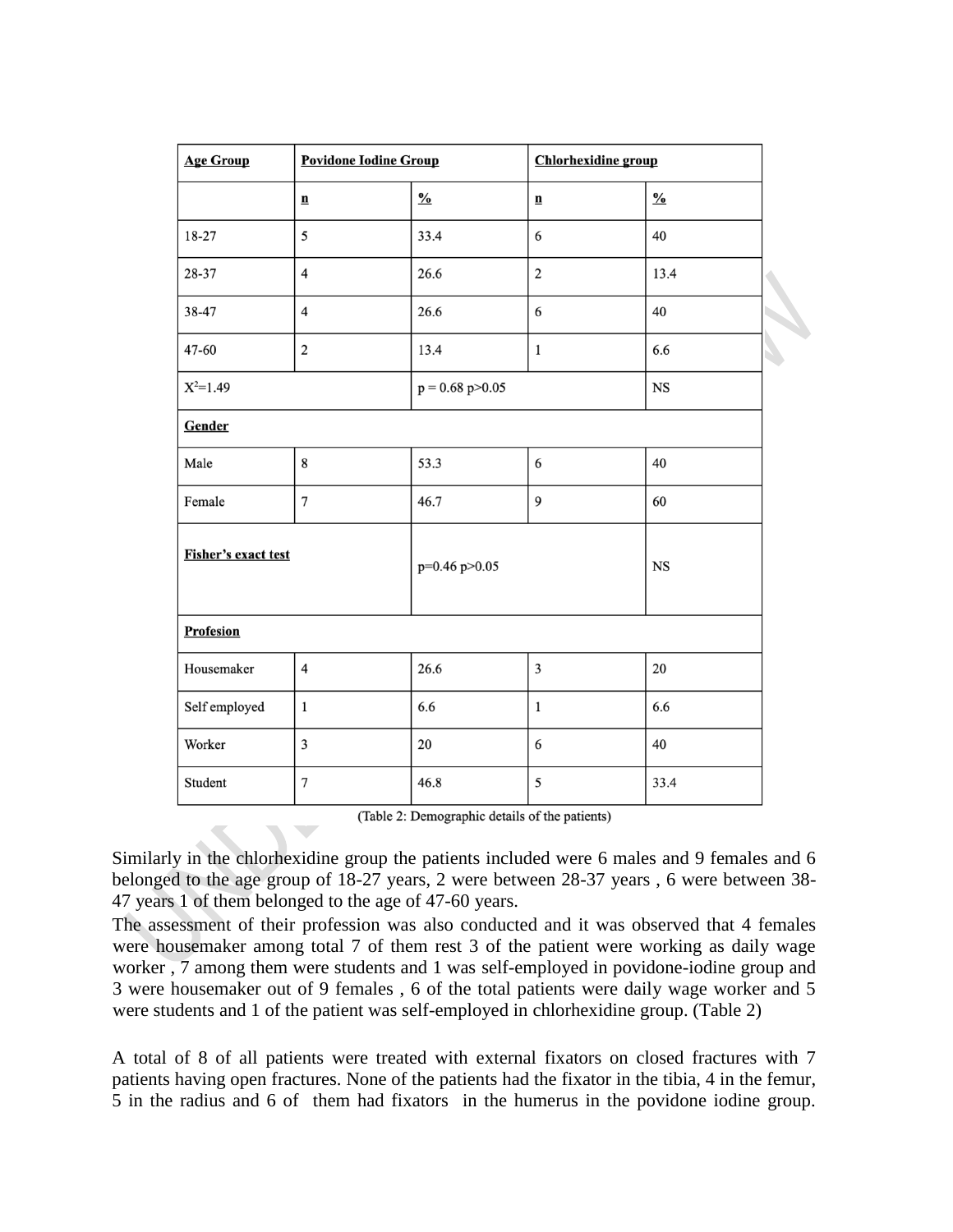| <b>Povidone Iodine Group</b><br><b>Age Group</b> |                          |                     | <b>Chlorhexidine</b> group |               |  |
|--------------------------------------------------|--------------------------|---------------------|----------------------------|---------------|--|
|                                                  | $\underline{\mathbf{n}}$ | $\frac{0}{0}$       | $\mathbf{n}$               | $\frac{0}{0}$ |  |
| 18-27                                            | 5                        | 33.4                | 6                          | 40            |  |
| 28-37                                            | $\overline{4}$           | 26.6                | $\sqrt{2}$                 | 13.4          |  |
| 38-47                                            | $\overline{4}$           | 26.6                | 6                          | 40            |  |
| 47-60                                            | $\overline{2}$           | 13.4                | $\mathbf 1$                | 6.6           |  |
| $X^2=1.49$                                       |                          | $p = 0.68 p > 0.05$ |                            | $_{\rm NS}$   |  |
| Gender                                           |                          |                     |                            |               |  |
| Male                                             | 8                        | 53.3                | 6                          | 40            |  |
| Female                                           | $\overline{7}$           | 46.7                | 9                          | 60            |  |
| Fisher's exact test                              |                          | p=0.46 p>0.05       |                            | $_{\rm NS}$   |  |
| Profesion                                        |                          |                     |                            |               |  |
| Housemaker                                       | $\overline{4}$           | 26.6                | $\overline{\mathbf{3}}$    | 20            |  |
| Self employed                                    | $\mathbf{1}$             | 6.6                 | $\,1$                      | 6.6           |  |
| Worker                                           | $\overline{3}$           | 20                  | 6                          | 40            |  |
| Student                                          | $\overline{7}$           | 46.8                | 5                          | 33.4          |  |

(Table 2: Demographic details of the patients)

Similarly in the chlorhexidine group the patients included were 6 males and 9 females and 6 belonged to the age group of 18-27 years, 2 were between 28-37 years , 6 were between 38- 47 years 1 of them belonged to the age of 47-60 years.

The assessment of their profession was also conducted and it was observed that 4 females were housemaker among total 7 of them rest 3 of the patient were working as daily wage worker , 7 among them were students and 1 was self-employed in povidone-iodine group and 3 were housemaker out of 9 females , 6 of the total patients were daily wage worker and 5 were students and 1 of the patient was self-employed in chlorhexidine group. (Table 2)

A total of 8 of all patients were treated with external fixators on closed fractures with 7 patients having open fractures. None of the patients had the fixator in the tibia, 4 in the femur, 5 in the radius and 6 of them had fixators in the humerus in the povidone iodine group.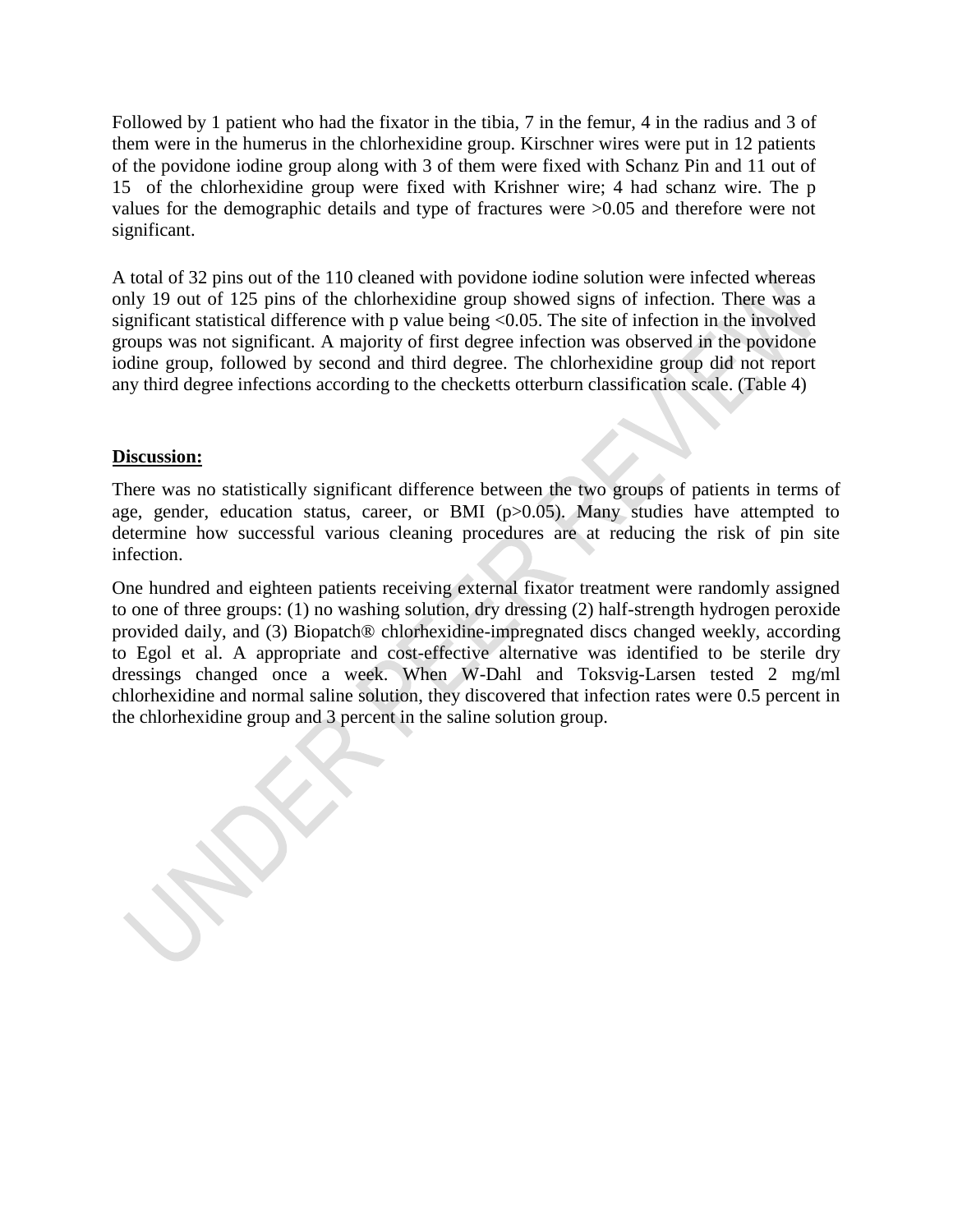Followed by 1 patient who had the fixator in the tibia, 7 in the femur, 4 in the radius and 3 of them were in the humerus in the chlorhexidine group. Kirschner wires were put in 12 patients of the povidone iodine group along with 3 of them were fixed with Schanz Pin and 11 out of 15 of the chlorhexidine group were fixed with Krishner wire; 4 had schanz wire. The p values for the demographic details and type of fractures were >0.05 and therefore were not significant.

A total of 32 pins out of the 110 cleaned with povidone iodine solution were infected whereas only 19 out of 125 pins of the chlorhexidine group showed signs of infection. There was a significant statistical difference with p value being  $\langle 0.05$ . The site of infection in the involved groups was not significant. A majority of first degree infection was observed in the povidone iodine group, followed by second and third degree. The chlorhexidine group did not report any third degree infections according to the checketts otterburn classification scale. (Table 4)

#### **Discussion:**

There was no statistically significant difference between the two groups of patients in terms of age, gender, education status, career, or BMI (p>0.05). Many studies have attempted to determine how successful various cleaning procedures are at reducing the risk of pin site infection.

One hundred and eighteen patients receiving external fixator treatment were randomly assigned to one of three groups: (1) no washing solution, dry dressing (2) half-strength hydrogen peroxide provided daily, and (3) Biopatch® chlorhexidine-impregnated discs changed weekly, according to Egol et al. A appropriate and cost-effective alternative was identified to be sterile dry dressings changed once a week. When W-Dahl and Toksvig-Larsen tested 2 mg/ml chlorhexidine and normal saline solution, they discovered that infection rates were 0.5 percent in the chlorhexidine group and 3 percent in the saline solution group.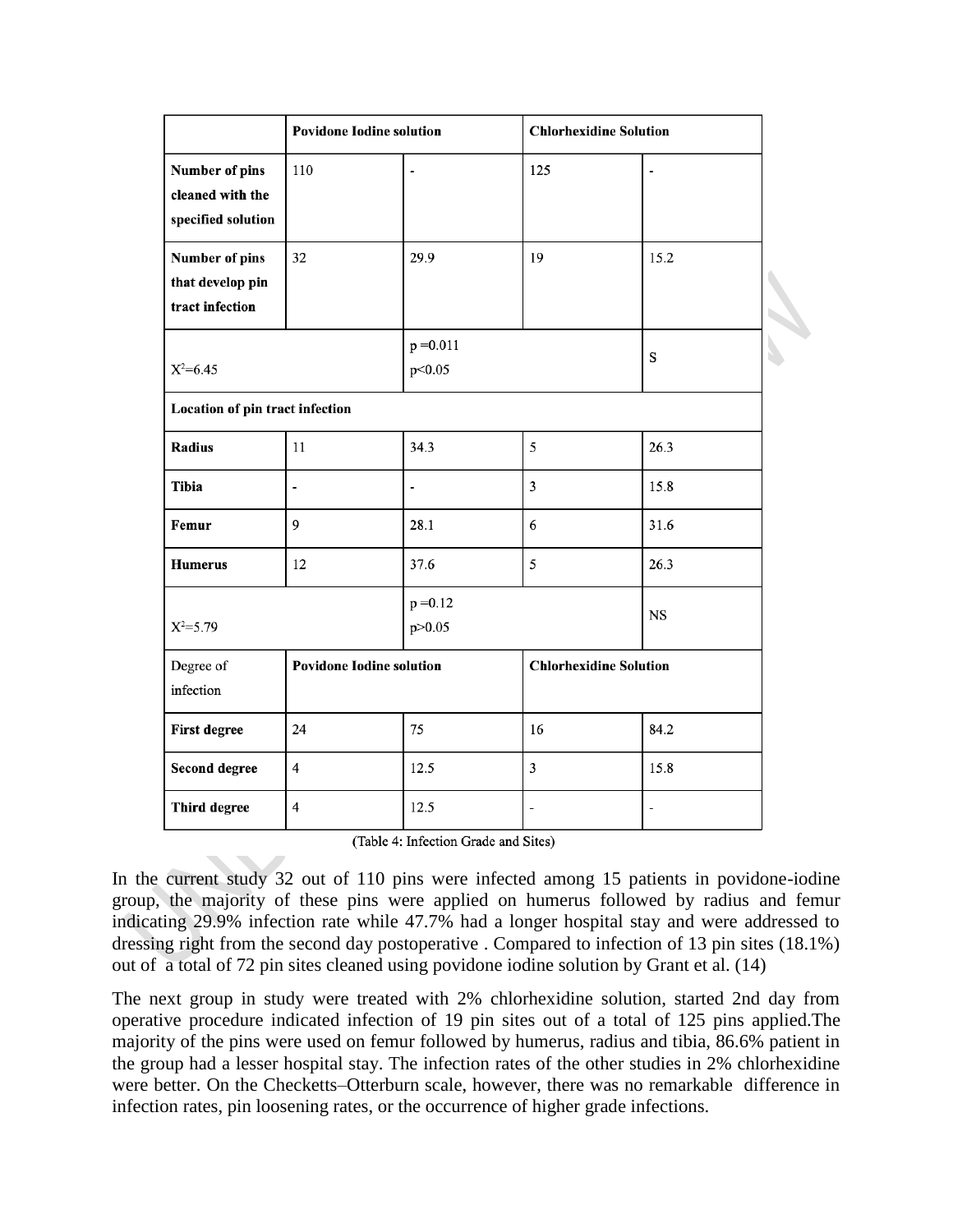|                                                          | <b>Povidone Iodine solution</b> |                          | <b>Chlorhexidine Solution</b> |                |  |
|----------------------------------------------------------|---------------------------------|--------------------------|-------------------------------|----------------|--|
| Number of pins<br>cleaned with the<br>specified solution | 110                             | $\overline{a}$           | 125                           | L,             |  |
| Number of pins<br>that develop pin<br>tract infection    | 32                              | 29.9                     | 19                            | 15.2           |  |
| $X^2=6.45$                                               |                                 | $p = 0.011$<br>p<0.05    |                               | S              |  |
| Location of pin tract infection                          |                                 |                          |                               |                |  |
| Radius                                                   | 11                              | 34.3                     | 5                             | 26.3           |  |
| <b>Tibia</b>                                             | $\overline{\phantom{a}}$        | $\overline{\phantom{a}}$ | $\overline{\mathbf{3}}$       | 15.8           |  |
| Femur                                                    | 9                               | 28.1                     | 6                             | 31.6           |  |
| <b>Humerus</b>                                           | 12                              | 37.6                     | 5                             | 26.3           |  |
| $X^2 = 5.79$                                             |                                 | $p = 0.12$<br>p>0.05     |                               | <b>NS</b>      |  |
| Degree of<br>infection                                   | <b>Povidone Iodine solution</b> |                          | <b>Chlorhexidine Solution</b> |                |  |
| <b>First degree</b>                                      | 24                              | 75                       | 16                            | 84.2           |  |
| <b>Second degree</b>                                     | $\overline{4}$                  | 12.5                     | 3                             | 15.8           |  |
| <b>Third degree</b>                                      | $\overline{\mathbf{4}}$         | 12.5                     | $\overline{\phantom{a}}$      | $\blacksquare$ |  |

(Table 4: Infection Grade and Sites)

In the current study 32 out of 110 pins were infected among 15 patients in povidone-iodine group, the majority of these pins were applied on humerus followed by radius and femur indicating 29.9% infection rate while 47.7% had a longer hospital stay and were addressed to dressing right from the second day postoperative . Compared to infection of 13 pin sites (18.1%) out of a total of 72 pin sites cleaned using povidone iodine solution by Grant et al. [\(14\)](https://www.zotero.org/google-docs/?tdxu9x)

The next group in study were treated with 2% chlorhexidine solution, started 2nd day from operative procedure indicated infection of 19 pin sites out of a total of 125 pins applied.The majority of the pins were used on femur followed by humerus, radius and tibia, 86.6% patient in the group had a lesser hospital stay. The infection rates of the other studies in 2% chlorhexidine were better. On the Checketts–Otterburn scale, however, there was no remarkable difference in infection rates, pin loosening rates, or the occurrence of higher grade infections.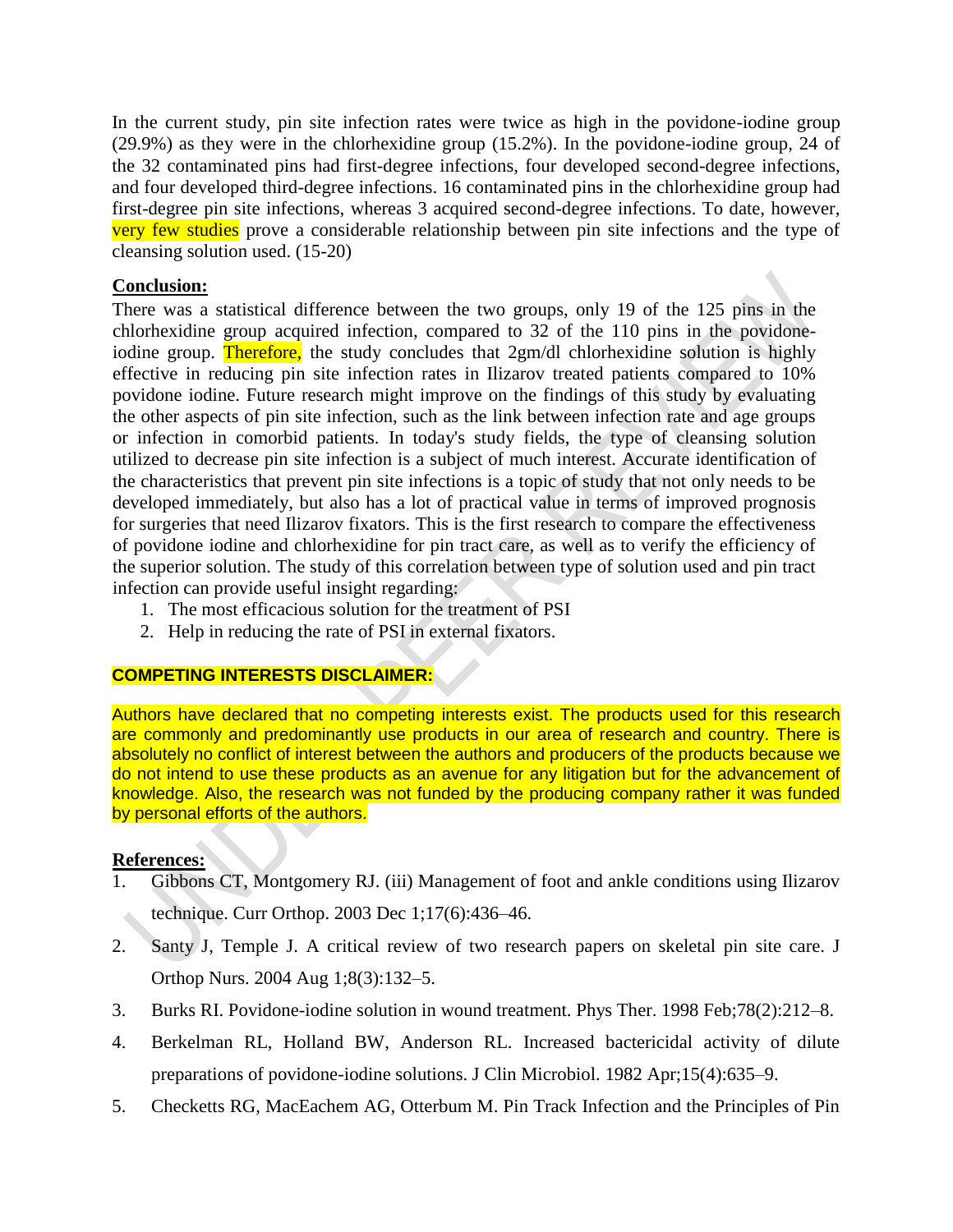In the current study, pin site infection rates were twice as high in the povidone-iodine group (29.9%) as they were in the chlorhexidine group (15.2%). In the povidone-iodine group, 24 of the 32 contaminated pins had first-degree infections, four developed second-degree infections, and four developed third-degree infections. 16 contaminated pins in the chlorhexidine group had first-degree pin site infections, whereas 3 acquired second-degree infections. To date, however, very few studies prove a considerable relationship between pin site infections and the type of cleansing solution used. (15-20)

## **Conclusion:**

There was a statistical difference between the two groups, only 19 of the 125 pins in the chlorhexidine group acquired infection, compared to 32 of the 110 pins in the povidoneiodine group. Therefore, the study concludes that 2gm/dl chlorhexidine solution is highly effective in reducing pin site infection rates in Ilizarov treated patients compared to 10% povidone iodine. Future research might improve on the findings of this study by evaluating the other aspects of pin site infection, such as the link between infection rate and age groups or infection in comorbid patients. In today's study fields, the type of cleansing solution utilized to decrease pin site infection is a subject of much interest. Accurate identification of the characteristics that prevent pin site infections is a topic of study that not only needs to be developed immediately, but also has a lot of practical value in terms of improved prognosis for surgeries that need Ilizarov fixators. This is the first research to compare the effectiveness of povidone iodine and chlorhexidine for pin tract care, as well as to verify the efficiency of the superior solution. The study of this correlation between type of solution used and pin tract infection can provide useful insight regarding:

- 1. The most efficacious solution for the treatment of PSI
- 2. Help in reducing the rate of PSI in external fixators.

#### **COMPETING INTERESTS DISCLAIMER:**

Authors have declared that no competing interests exist. The products used for this research are commonly and predominantly use products in our area of research and country. There is absolutely no conflict of interest between the authors and producers of the products because we do not intend to use these products as an avenue for any litigation but for the advancement of knowledge. Also, the research was not funded by the producing company rather it was funded by personal efforts of the authors.

#### **References:**

- [1. Gibbons CT, Montgomery RJ. \(iii\) Management of foot and ankle conditions using Ilizarov](https://www.zotero.org/google-docs/?ZIEirt)  [technique. Curr Orthop. 2003 Dec 1;17\(6\):436–46.](https://www.zotero.org/google-docs/?ZIEirt)
- [2. Santy J, Temple J. A critical review of two research papers on skeletal pin site care. J](https://www.zotero.org/google-docs/?ZIEirt)  [Orthop Nurs. 2004 Aug 1;8\(3\):132–5.](https://www.zotero.org/google-docs/?ZIEirt)
- [3. Burks RI. Povidone-iodine solution in wound treatment. Phys Ther. 1998 Feb;78\(2\):212–8.](https://www.zotero.org/google-docs/?ZIEirt)
- [4. Berkelman RL, Holland BW, Anderson RL. Increased bactericidal activity of dilute](https://www.zotero.org/google-docs/?ZIEirt)  [preparations of povidone-iodine solutions. J Clin Microbiol. 1982 Apr;15\(4\):635–9.](https://www.zotero.org/google-docs/?ZIEirt)
- [5. Checketts RG, MacEachem AG, Otterbum M. Pin Track Infection and the Principles of Pin](file:///C:/Users/Hp/Downloads/5.%20Checketts%20RG,%20MacEachem%20AG,%20Otterbum%20M.%20Pin%20Track%20Infection%20and%20the%20Principles%20of%20Pin%20Site%20Care.%20In:%20De%20Bastiani%20G,%20Apley%20AG,%20Goldberg%20A,%20editors.%20Orthofix%20External%20Fixation%20in%20Trauma%20and%20Orthopaedics%20%5bInternet%5d.%20London:%20Springer;%202000%20%5bcited%202021%20Sep%2014%5d.%20p.%2097–103.)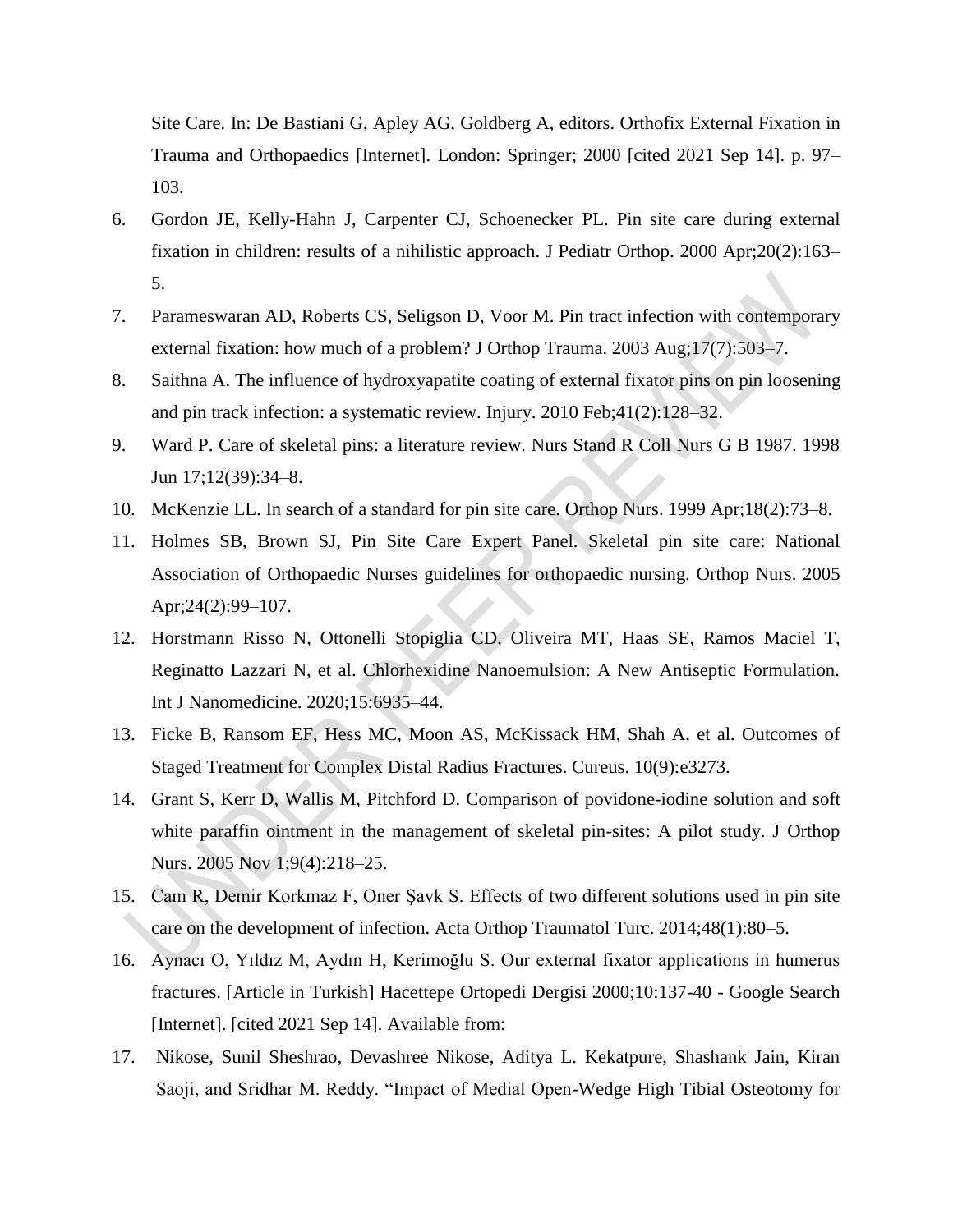Site Care. In: De Bastiani G, Apley AG, Goldberg A, editors. Orthofix External Fixation in Trauma and Orthopaedics [Internet]. London: Springer; 2000 [cited 2021 Sep 14]. p. 97– 103.

- [6. Gordon JE, Kelly-Hahn J, Carpenter CJ, Schoenecker](https://www.zotero.org/google-docs/?ZIEirt) PL. Pin site care during external [fixation in children: results of a nihilistic approach. J Pediatr Orthop. 2000 Apr;20\(2\):163–](https://www.zotero.org/google-docs/?ZIEirt) [5.](https://www.zotero.org/google-docs/?ZIEirt)
- [7. Parameswaran AD, Roberts CS, Seligson D, Voor M. Pin tract infection with contemporary](https://www.zotero.org/google-docs/?ZIEirt)  [external fixation: how much of a problem? J Orthop Trauma. 2003 Aug;17\(7\):503–7.](https://www.zotero.org/google-docs/?ZIEirt)
- [8. Saithna A. The influence of hydroxyapatite coating of external fixator pins on pin loosening](https://www.zotero.org/google-docs/?ZIEirt)  [and pin track infection: a systematic review. Injury. 2010 Feb;41\(2\):128–32.](https://www.zotero.org/google-docs/?ZIEirt)
- [9. Ward P. Care of skeletal pins: a literature review. Nurs Stand R Coll Nurs G B 1987. 1998](https://www.zotero.org/google-docs/?ZIEirt)  [Jun 17;12\(39\):34–8.](https://www.zotero.org/google-docs/?ZIEirt)
- [10. McKenzie LL. In search of a standard for pin site care. Orthop Nurs. 1999 Apr;18\(2\):73–8.](https://www.zotero.org/google-docs/?ZIEirt)
- [11. Holmes SB, Brown SJ, Pin Site Care Expert Panel. Skeletal pin site care: National](https://www.zotero.org/google-docs/?ZIEirt)  [Association of Orthopaedic Nurses guidelines for orthopaedic nursing. Orthop Nurs. 2005](https://www.zotero.org/google-docs/?ZIEirt)  [Apr;24\(2\):99–107.](https://www.zotero.org/google-docs/?ZIEirt)
- [12. Horstmann Risso N, Ottonelli Stopiglia CD, Oliveira MT, Haas SE, Ramos Maciel T,](https://www.zotero.org/google-docs/?ZIEirt)  [Reginatto Lazzari N, et al. Chlorhexidine Nanoemulsion: A New Antiseptic Formulation.](https://www.zotero.org/google-docs/?ZIEirt)  [Int J Nanomedicine. 2020;15:6935–44.](https://www.zotero.org/google-docs/?ZIEirt)
- [13. Ficke B, Ransom EF, Hess MC, Moon AS, McKissack HM, Shah A, et al. Outcomes of](https://www.zotero.org/google-docs/?ZIEirt)  [Staged Treatment for Complex Distal Radius Fractures. Cureus. 10\(9\):e3273.](https://www.zotero.org/google-docs/?ZIEirt)
- [14. Grant S, Kerr D, Wallis M, Pitchford D. Comparison of povidone-iodine solution and soft](https://www.zotero.org/google-docs/?ZIEirt)  [white paraffin ointment in the management of skeletal pin-sites: A pilot study. J Orthop](https://www.zotero.org/google-docs/?ZIEirt)  [Nurs. 2005 Nov 1;9\(4\):218–25.](https://www.zotero.org/google-docs/?ZIEirt)
- [15. Cam R, Demir Korkmaz F, Oner Şavk S. Effects](https://www.zotero.org/google-docs/?ZIEirt) of two different solutions used in pin site [care on the development of infection. Acta Orthop Traumatol Turc. 2014;48\(1\):80–5.](https://www.zotero.org/google-docs/?ZIEirt)
- 16. Aynacı O, Yıldız M, Aydın H, Kerimoğlu S. Our external fixator applications in humerus fractures. [Article in Turkish] Hacettepe Ortopedi Dergisi 2000;10:137-40 - Google Search [Internet]. [cited 2021 Sep 14]. Available from:
- 17. Nikose, Sunil Sheshrao, Devashree Nikose, Aditya L. Kekatpure, Shashank Jain, Kiran Saoji, and Sridhar M. Reddy. "Impact of Medial Open-Wedge High Tibial Osteotomy for